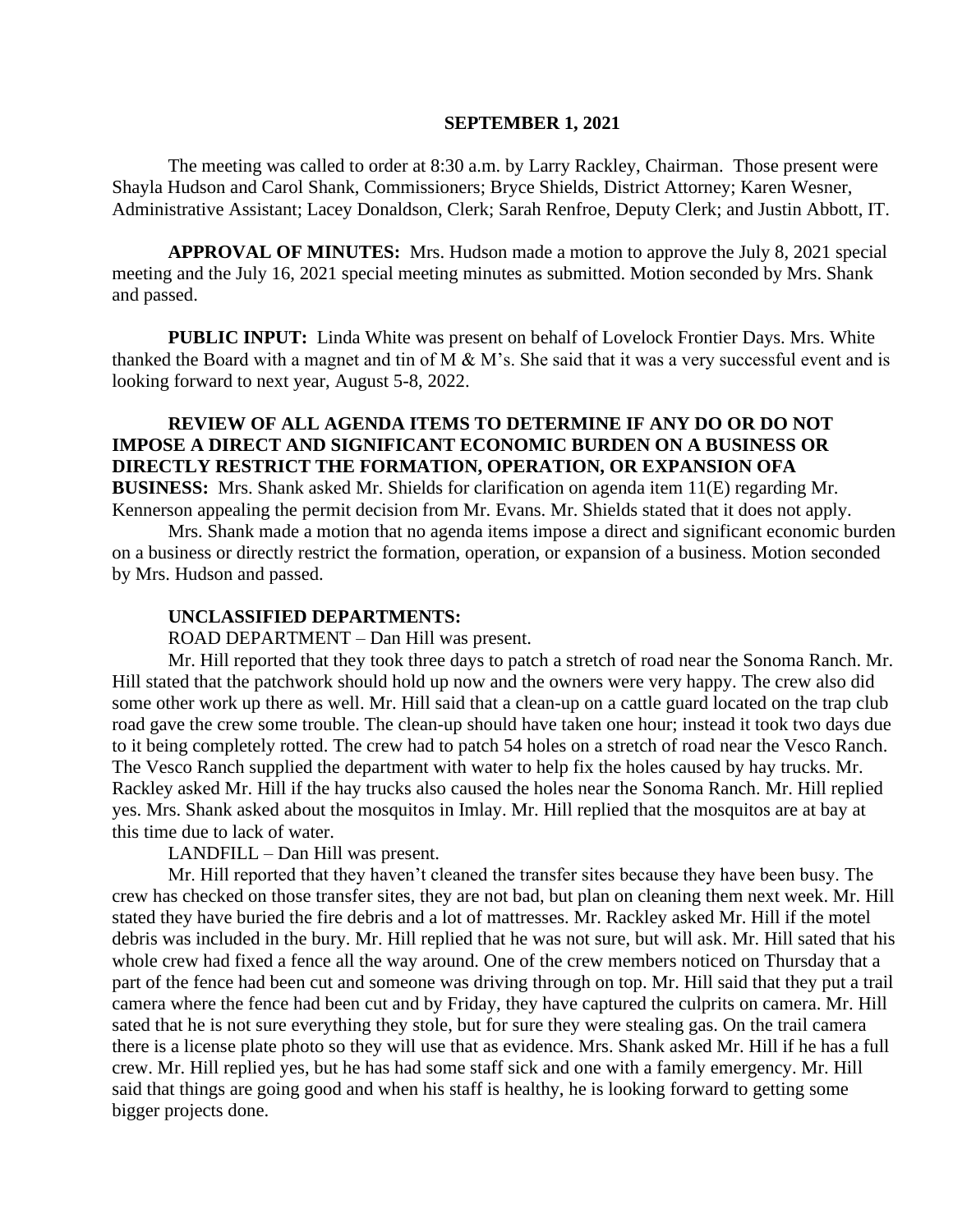#### **SEPTEMBER 1, 2021**

The meeting was called to order at 8:30 a.m. by Larry Rackley, Chairman. Those present were Shayla Hudson and Carol Shank, Commissioners; Bryce Shields, District Attorney; Karen Wesner, Administrative Assistant; Lacey Donaldson, Clerk; Sarah Renfroe, Deputy Clerk; and Justin Abbott, IT.

**APPROVAL OF MINUTES:** Mrs. Hudson made a motion to approve the July 8, 2021 special meeting and the July 16, 2021 special meeting minutes as submitted. Motion seconded by Mrs. Shank and passed.

 **PUBLIC INPUT:** Linda White was present on behalf of Lovelock Frontier Days. Mrs. White thanked the Board with a magnet and tin of M & M's. She said that it was a very successful event and is looking forward to next year, August 5-8, 2022.

# **REVIEW OF ALL AGENDA ITEMS TO DETERMINE IF ANY DO OR DO NOT IMPOSE A DIRECT AND SIGNIFICANT ECONOMIC BURDEN ON A BUSINESS OR DIRECTLY RESTRICT THE FORMATION, OPERATION, OR EXPANSION OFA**

**BUSINESS:** Mrs. Shank asked Mr. Shields for clarification on agenda item 11(E) regarding Mr. Kennerson appealing the permit decision from Mr. Evans. Mr. Shields stated that it does not apply.

Mrs. Shank made a motion that no agenda items impose a direct and significant economic burden on a business or directly restrict the formation, operation, or expansion of a business. Motion seconded by Mrs. Hudson and passed.

#### **UNCLASSIFIED DEPARTMENTS:**

ROAD DEPARTMENT – Dan Hill was present.

Mr. Hill reported that they took three days to patch a stretch of road near the Sonoma Ranch. Mr. Hill stated that the patchwork should hold up now and the owners were very happy. The crew also did some other work up there as well. Mr. Hill said that a clean-up on a cattle guard located on the trap club road gave the crew some trouble. The clean-up should have taken one hour; instead it took two days due to it being completely rotted. The crew had to patch 54 holes on a stretch of road near the Vesco Ranch. The Vesco Ranch supplied the department with water to help fix the holes caused by hay trucks. Mr. Rackley asked Mr. Hill if the hay trucks also caused the holes near the Sonoma Ranch. Mr. Hill replied yes. Mrs. Shank asked about the mosquitos in Imlay. Mr. Hill replied that the mosquitos are at bay at this time due to lack of water.

LANDFILL – Dan Hill was present.

Mr. Hill reported that they haven't cleaned the transfer sites because they have been busy. The crew has checked on those transfer sites, they are not bad, but plan on cleaning them next week. Mr. Hill stated they have buried the fire debris and a lot of mattresses. Mr. Rackley asked Mr. Hill if the motel debris was included in the bury. Mr. Hill replied that he was not sure, but will ask. Mr. Hill sated that his whole crew had fixed a fence all the way around. One of the crew members noticed on Thursday that a part of the fence had been cut and someone was driving through on top. Mr. Hill said that they put a trail camera where the fence had been cut and by Friday, they have captured the culprits on camera. Mr. Hill sated that he is not sure everything they stole, but for sure they were stealing gas. On the trail camera there is a license plate photo so they will use that as evidence. Mrs. Shank asked Mr. Hill if he has a full crew. Mr. Hill replied yes, but he has had some staff sick and one with a family emergency. Mr. Hill said that things are going good and when his staff is healthy, he is looking forward to getting some bigger projects done.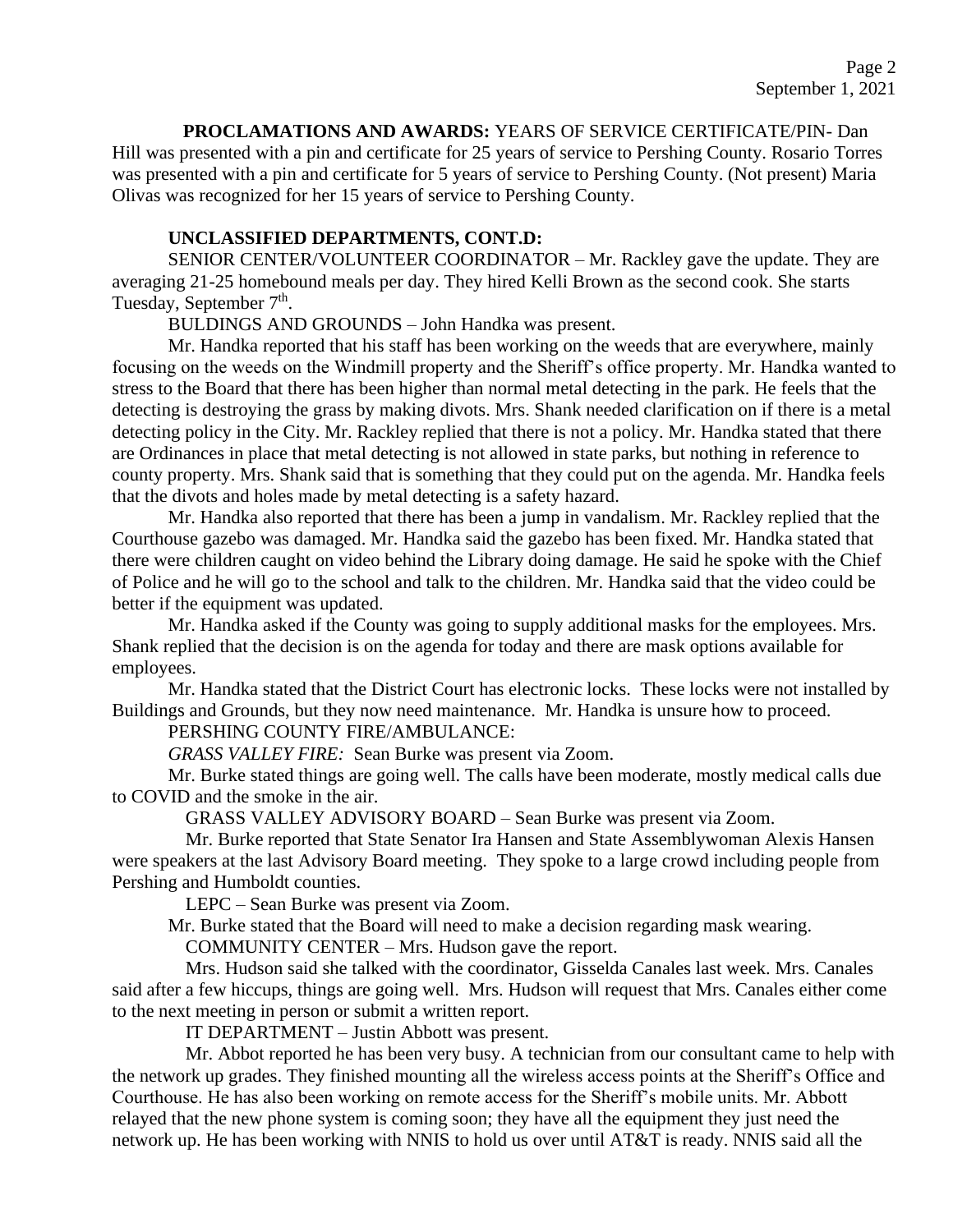**PROCLAMATIONS AND AWARDS:** YEARS OF SERVICE CERTIFICATE/PIN- Dan Hill was presented with a pin and certificate for 25 years of service to Pershing County. Rosario Torres was presented with a pin and certificate for 5 years of service to Pershing County. (Not present) Maria Olivas was recognized for her 15 years of service to Pershing County.

#### **UNCLASSIFIED DEPARTMENTS, CONT.D:**

SENIOR CENTER/VOLUNTEER COORDINATOR – Mr. Rackley gave the update. They are averaging 21-25 homebound meals per day. They hired Kelli Brown as the second cook. She starts Tuesday, September 7<sup>th</sup>.

BULDINGS AND GROUNDS – John Handka was present.

Mr. Handka reported that his staff has been working on the weeds that are everywhere, mainly focusing on the weeds on the Windmill property and the Sheriff's office property. Mr. Handka wanted to stress to the Board that there has been higher than normal metal detecting in the park. He feels that the detecting is destroying the grass by making divots. Mrs. Shank needed clarification on if there is a metal detecting policy in the City. Mr. Rackley replied that there is not a policy. Mr. Handka stated that there are Ordinances in place that metal detecting is not allowed in state parks, but nothing in reference to county property. Mrs. Shank said that is something that they could put on the agenda. Mr. Handka feels that the divots and holes made by metal detecting is a safety hazard.

Mr. Handka also reported that there has been a jump in vandalism. Mr. Rackley replied that the Courthouse gazebo was damaged. Mr. Handka said the gazebo has been fixed. Mr. Handka stated that there were children caught on video behind the Library doing damage. He said he spoke with the Chief of Police and he will go to the school and talk to the children. Mr. Handka said that the video could be better if the equipment was updated.

Mr. Handka asked if the County was going to supply additional masks for the employees. Mrs. Shank replied that the decision is on the agenda for today and there are mask options available for employees.

Mr. Handka stated that the District Court has electronic locks. These locks were not installed by Buildings and Grounds, but they now need maintenance. Mr. Handka is unsure how to proceed.

PERSHING COUNTY FIRE/AMBULANCE:

*GRASS VALLEY FIRE:* Sean Burke was present via Zoom.

Mr. Burke stated things are going well. The calls have been moderate, mostly medical calls due to COVID and the smoke in the air.

GRASS VALLEY ADVISORY BOARD – Sean Burke was present via Zoom.

Mr. Burke reported that State Senator Ira Hansen and State Assemblywoman Alexis Hansen were speakers at the last Advisory Board meeting. They spoke to a large crowd including people from Pershing and Humboldt counties.

LEPC – Sean Burke was present via Zoom.

Mr. Burke stated that the Board will need to make a decision regarding mask wearing.

COMMUNITY CENTER – Mrs. Hudson gave the report.

Mrs. Hudson said she talked with the coordinator, Gisselda Canales last week. Mrs. Canales said after a few hiccups, things are going well. Mrs. Hudson will request that Mrs. Canales either come to the next meeting in person or submit a written report.

IT DEPARTMENT – Justin Abbott was present.

Mr. Abbot reported he has been very busy. A technician from our consultant came to help with the network up grades. They finished mounting all the wireless access points at the Sheriff's Office and Courthouse. He has also been working on remote access for the Sheriff's mobile units. Mr. Abbott relayed that the new phone system is coming soon; they have all the equipment they just need the network up. He has been working with NNIS to hold us over until AT&T is ready. NNIS said all the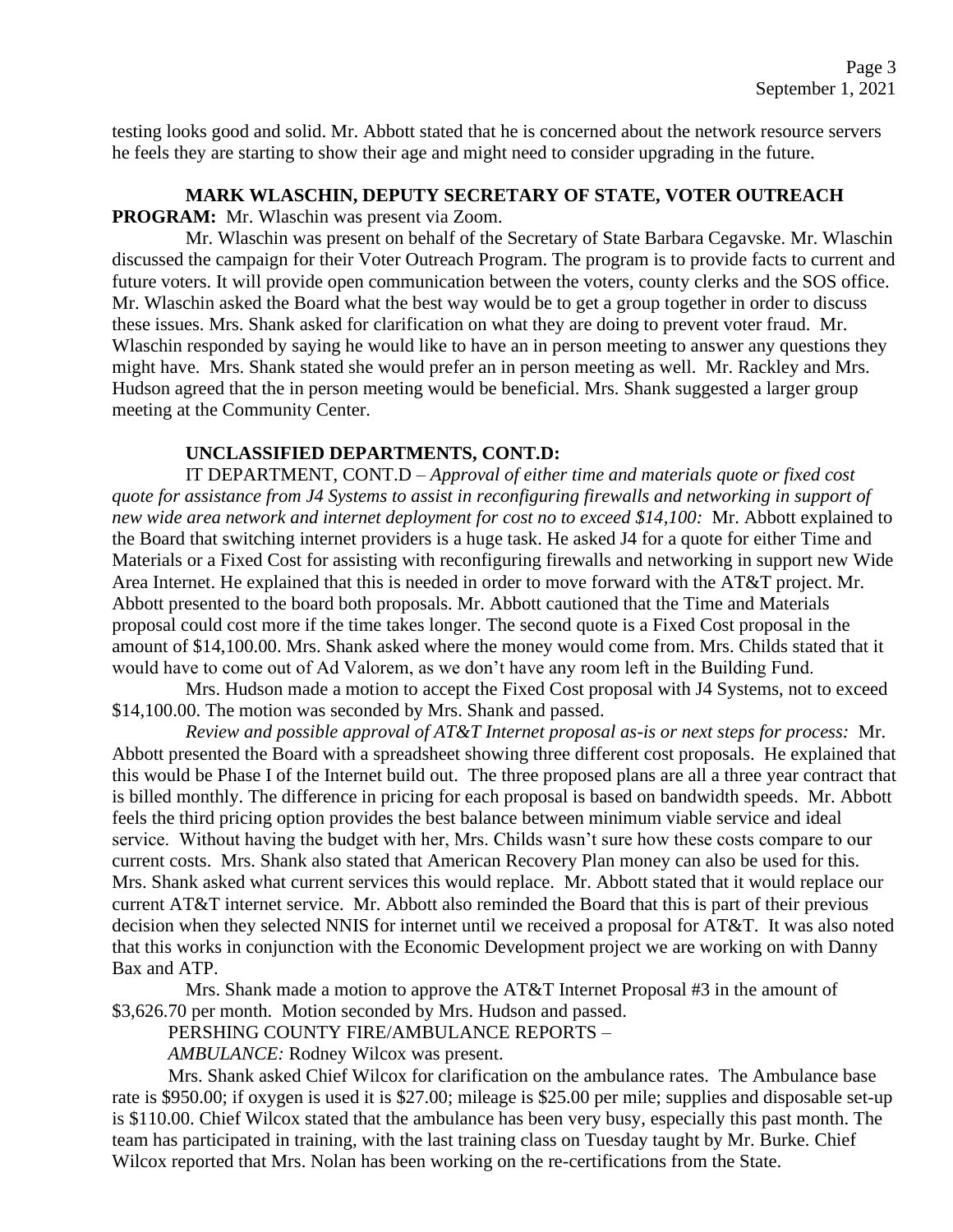testing looks good and solid. Mr. Abbott stated that he is concerned about the network resource servers he feels they are starting to show their age and might need to consider upgrading in the future.

#### **MARK WLASCHIN, DEPUTY SECRETARY OF STATE, VOTER OUTREACH PROGRAM:** Mr. Wlaschin was present via Zoom.

Mr. Wlaschin was present on behalf of the Secretary of State Barbara Cegavske. Mr. Wlaschin discussed the campaign for their Voter Outreach Program. The program is to provide facts to current and future voters. It will provide open communication between the voters, county clerks and the SOS office. Mr. Wlaschin asked the Board what the best way would be to get a group together in order to discuss these issues. Mrs. Shank asked for clarification on what they are doing to prevent voter fraud. Mr. Wlaschin responded by saying he would like to have an in person meeting to answer any questions they might have. Mrs. Shank stated she would prefer an in person meeting as well. Mr. Rackley and Mrs. Hudson agreed that the in person meeting would be beneficial. Mrs. Shank suggested a larger group meeting at the Community Center.

### **UNCLASSIFIED DEPARTMENTS, CONT.D:**

IT DEPARTMENT, CONT.D – *Approval of either time and materials quote or fixed cost quote for assistance from J4 Systems to assist in reconfiguring firewalls and networking in support of new wide area network and internet deployment for cost no to exceed \$14,100:* Mr. Abbott explained to the Board that switching internet providers is a huge task. He asked J4 for a quote for either Time and Materials or a Fixed Cost for assisting with reconfiguring firewalls and networking in support new Wide Area Internet. He explained that this is needed in order to move forward with the AT&T project. Mr. Abbott presented to the board both proposals. Mr. Abbott cautioned that the Time and Materials proposal could cost more if the time takes longer. The second quote is a Fixed Cost proposal in the amount of \$14,100.00. Mrs. Shank asked where the money would come from. Mrs. Childs stated that it would have to come out of Ad Valorem, as we don't have any room left in the Building Fund.

Mrs. Hudson made a motion to accept the Fixed Cost proposal with J4 Systems, not to exceed \$14,100.00. The motion was seconded by Mrs. Shank and passed.

*Review and possible approval of AT&T Internet proposal as-is or next steps for process:* Mr. Abbott presented the Board with a spreadsheet showing three different cost proposals. He explained that this would be Phase I of the Internet build out. The three proposed plans are all a three year contract that is billed monthly. The difference in pricing for each proposal is based on bandwidth speeds. Mr. Abbott feels the third pricing option provides the best balance between minimum viable service and ideal service. Without having the budget with her, Mrs. Childs wasn't sure how these costs compare to our current costs. Mrs. Shank also stated that American Recovery Plan money can also be used for this. Mrs. Shank asked what current services this would replace. Mr. Abbott stated that it would replace our current AT&T internet service. Mr. Abbott also reminded the Board that this is part of their previous decision when they selected NNIS for internet until we received a proposal for AT&T. It was also noted that this works in conjunction with the Economic Development project we are working on with Danny Bax and ATP.

Mrs. Shank made a motion to approve the AT&T Internet Proposal #3 in the amount of \$3,626.70 per month. Motion seconded by Mrs. Hudson and passed.

PERSHING COUNTY FIRE/AMBULANCE REPORTS –

*AMBULANCE:* Rodney Wilcox was present.

Mrs. Shank asked Chief Wilcox for clarification on the ambulance rates. The Ambulance base rate is \$950.00; if oxygen is used it is \$27.00; mileage is \$25.00 per mile; supplies and disposable set-up is \$110.00. Chief Wilcox stated that the ambulance has been very busy, especially this past month. The team has participated in training, with the last training class on Tuesday taught by Mr. Burke. Chief Wilcox reported that Mrs. Nolan has been working on the re-certifications from the State.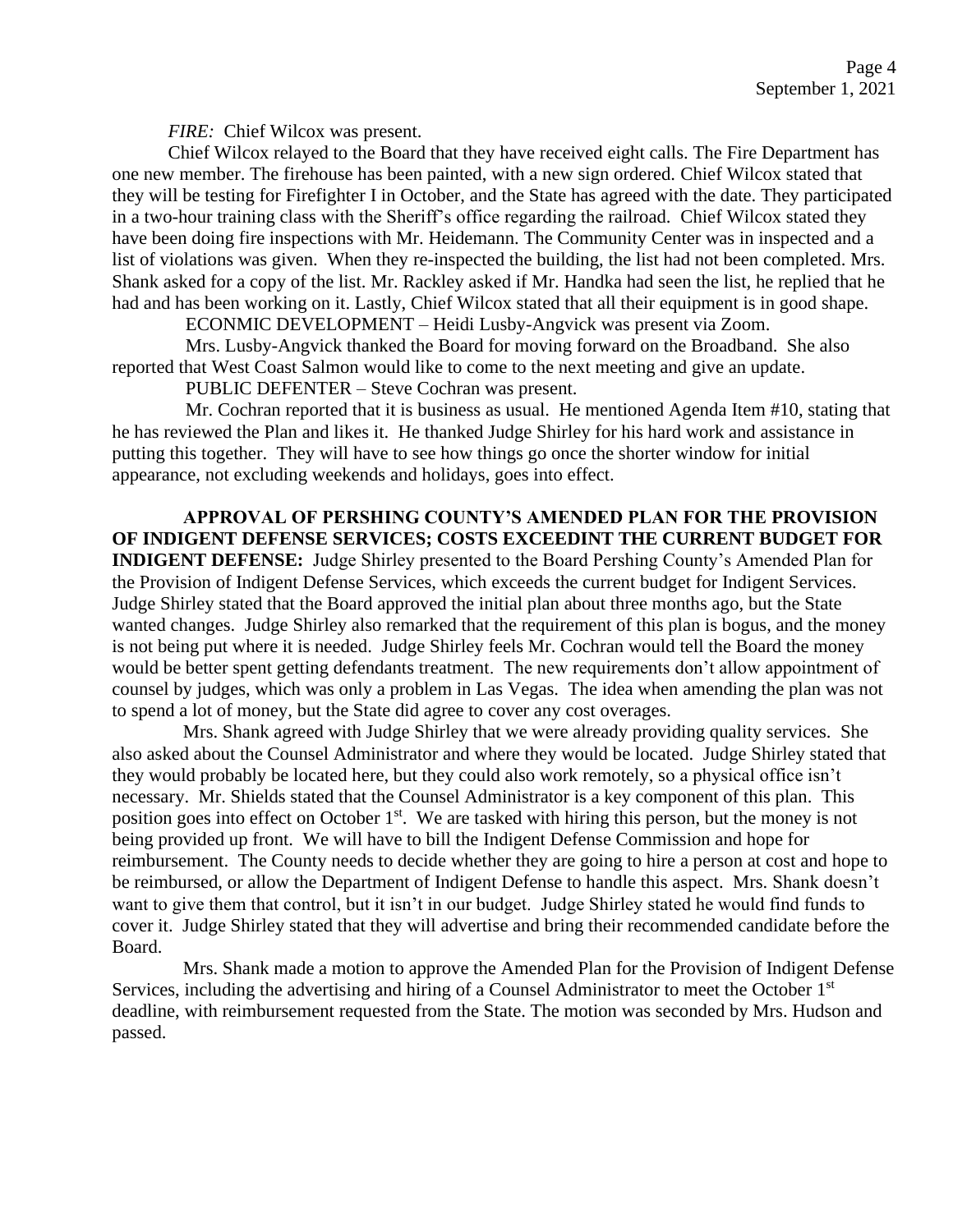*FIRE:* Chief Wilcox was present.

Chief Wilcox relayed to the Board that they have received eight calls. The Fire Department has one new member. The firehouse has been painted, with a new sign ordered. Chief Wilcox stated that they will be testing for Firefighter I in October, and the State has agreed with the date. They participated in a two-hour training class with the Sheriff's office regarding the railroad. Chief Wilcox stated they have been doing fire inspections with Mr. Heidemann. The Community Center was in inspected and a list of violations was given. When they re-inspected the building, the list had not been completed. Mrs. Shank asked for a copy of the list. Mr. Rackley asked if Mr. Handka had seen the list, he replied that he had and has been working on it. Lastly, Chief Wilcox stated that all their equipment is in good shape.

ECONMIC DEVELOPMENT – Heidi Lusby-Angvick was present via Zoom.

Mrs. Lusby-Angvick thanked the Board for moving forward on the Broadband. She also reported that West Coast Salmon would like to come to the next meeting and give an update.

PUBLIC DEFENTER – Steve Cochran was present.

Mr. Cochran reported that it is business as usual. He mentioned Agenda Item #10, stating that he has reviewed the Plan and likes it. He thanked Judge Shirley for his hard work and assistance in putting this together. They will have to see how things go once the shorter window for initial appearance, not excluding weekends and holidays, goes into effect.

**APPROVAL OF PERSHING COUNTY'S AMENDED PLAN FOR THE PROVISION OF INDIGENT DEFENSE SERVICES; COSTS EXCEEDINT THE CURRENT BUDGET FOR INDIGENT DEFENSE:** Judge Shirley presented to the Board Pershing County's Amended Plan for the Provision of Indigent Defense Services, which exceeds the current budget for Indigent Services. Judge Shirley stated that the Board approved the initial plan about three months ago, but the State wanted changes. Judge Shirley also remarked that the requirement of this plan is bogus, and the money is not being put where it is needed. Judge Shirley feels Mr. Cochran would tell the Board the money would be better spent getting defendants treatment. The new requirements don't allow appointment of counsel by judges, which was only a problem in Las Vegas. The idea when amending the plan was not to spend a lot of money, but the State did agree to cover any cost overages.

Mrs. Shank agreed with Judge Shirley that we were already providing quality services. She also asked about the Counsel Administrator and where they would be located. Judge Shirley stated that they would probably be located here, but they could also work remotely, so a physical office isn't necessary. Mr. Shields stated that the Counsel Administrator is a key component of this plan. This position goes into effect on October 1<sup>st</sup>. We are tasked with hiring this person, but the money is not being provided up front. We will have to bill the Indigent Defense Commission and hope for reimbursement. The County needs to decide whether they are going to hire a person at cost and hope to be reimbursed, or allow the Department of Indigent Defense to handle this aspect. Mrs. Shank doesn't want to give them that control, but it isn't in our budget. Judge Shirley stated he would find funds to cover it. Judge Shirley stated that they will advertise and bring their recommended candidate before the Board.

Mrs. Shank made a motion to approve the Amended Plan for the Provision of Indigent Defense Services, including the advertising and hiring of a Counsel Administrator to meet the October 1<sup>st</sup> deadline, with reimbursement requested from the State. The motion was seconded by Mrs. Hudson and passed.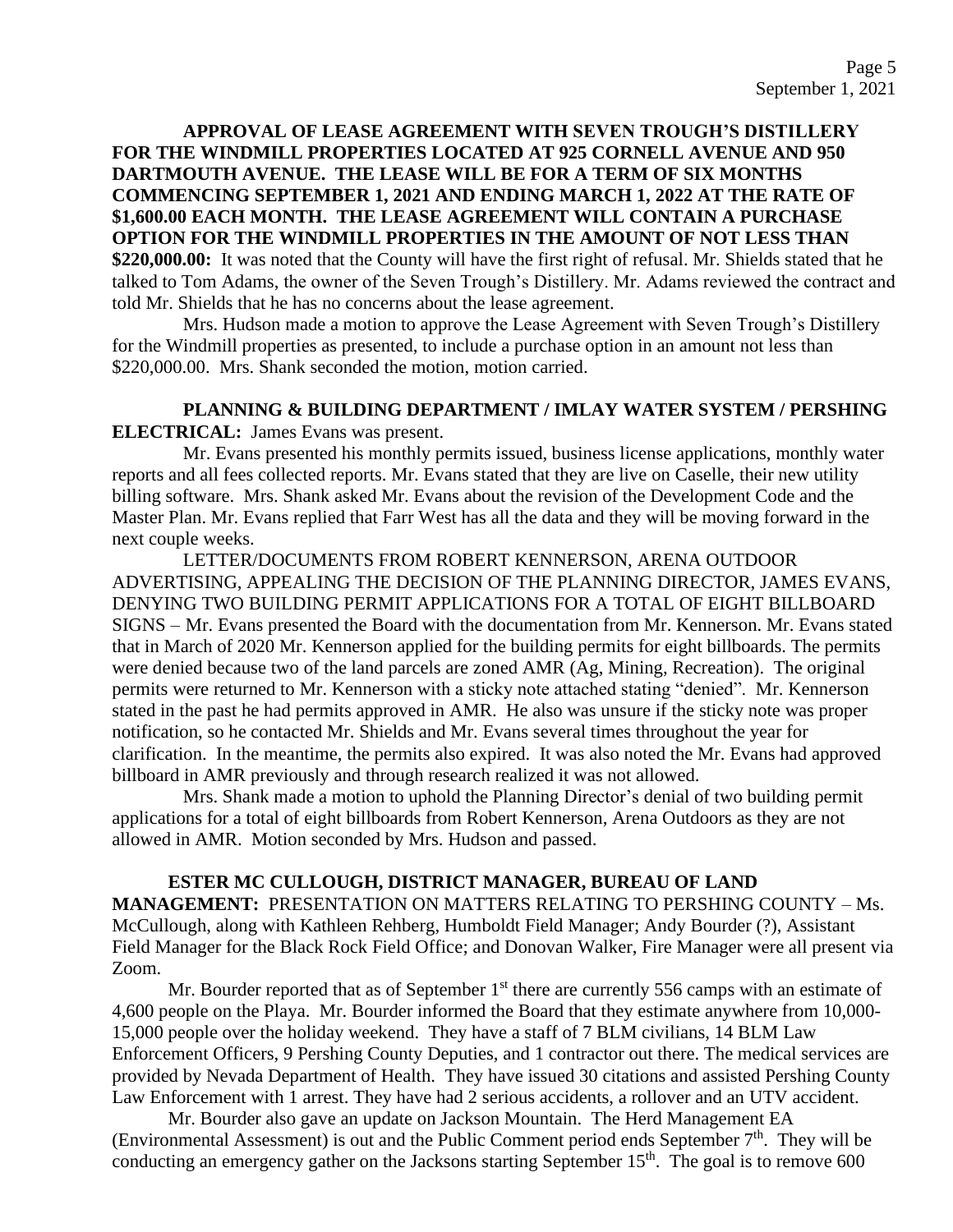**APPROVAL OF LEASE AGREEMENT WITH SEVEN TROUGH'S DISTILLERY FOR THE WINDMILL PROPERTIES LOCATED AT 925 CORNELL AVENUE AND 950 DARTMOUTH AVENUE. THE LEASE WILL BE FOR A TERM OF SIX MONTHS COMMENCING SEPTEMBER 1, 2021 AND ENDING MARCH 1, 2022 AT THE RATE OF \$1,600.00 EACH MONTH. THE LEASE AGREEMENT WILL CONTAIN A PURCHASE OPTION FOR THE WINDMILL PROPERTIES IN THE AMOUNT OF NOT LESS THAN \$220,000.00:** It was noted that the County will have the first right of refusal. Mr. Shields stated that he talked to Tom Adams, the owner of the Seven Trough's Distillery. Mr. Adams reviewed the contract and told Mr. Shields that he has no concerns about the lease agreement.

Mrs. Hudson made a motion to approve the Lease Agreement with Seven Trough's Distillery for the Windmill properties as presented, to include a purchase option in an amount not less than \$220,000.00. Mrs. Shank seconded the motion, motion carried.

## **PLANNING & BUILDING DEPARTMENT / IMLAY WATER SYSTEM / PERSHING ELECTRICAL:** James Evans was present.

Mr. Evans presented his monthly permits issued, business license applications, monthly water reports and all fees collected reports. Mr. Evans stated that they are live on Caselle, their new utility billing software. Mrs. Shank asked Mr. Evans about the revision of the Development Code and the Master Plan. Mr. Evans replied that Farr West has all the data and they will be moving forward in the next couple weeks.

LETTER/DOCUMENTS FROM ROBERT KENNERSON, ARENA OUTDOOR ADVERTISING, APPEALING THE DECISION OF THE PLANNING DIRECTOR, JAMES EVANS, DENYING TWO BUILDING PERMIT APPLICATIONS FOR A TOTAL OF EIGHT BILLBOARD SIGNS – Mr. Evans presented the Board with the documentation from Mr. Kennerson. Mr. Evans stated that in March of 2020 Mr. Kennerson applied for the building permits for eight billboards. The permits were denied because two of the land parcels are zoned AMR (Ag, Mining, Recreation). The original permits were returned to Mr. Kennerson with a sticky note attached stating "denied". Mr. Kennerson stated in the past he had permits approved in AMR. He also was unsure if the sticky note was proper notification, so he contacted Mr. Shields and Mr. Evans several times throughout the year for clarification. In the meantime, the permits also expired. It was also noted the Mr. Evans had approved billboard in AMR previously and through research realized it was not allowed.

Mrs. Shank made a motion to uphold the Planning Director's denial of two building permit applications for a total of eight billboards from Robert Kennerson, Arena Outdoors as they are not allowed in AMR. Motion seconded by Mrs. Hudson and passed.

#### **ESTER MC CULLOUGH, DISTRICT MANAGER, BUREAU OF LAND**

**MANAGEMENT:** PRESENTATION ON MATTERS RELATING TO PERSHING COUNTY – Ms. McCullough, along with Kathleen Rehberg, Humboldt Field Manager; Andy Bourder (?), Assistant Field Manager for the Black Rock Field Office; and Donovan Walker, Fire Manager were all present via Zoom.

Mr. Bourder reported that as of September  $1<sup>st</sup>$  there are currently 556 camps with an estimate of 4,600 people on the Playa. Mr. Bourder informed the Board that they estimate anywhere from 10,000- 15,000 people over the holiday weekend. They have a staff of 7 BLM civilians, 14 BLM Law Enforcement Officers, 9 Pershing County Deputies, and 1 contractor out there. The medical services are provided by Nevada Department of Health. They have issued 30 citations and assisted Pershing County Law Enforcement with 1 arrest. They have had 2 serious accidents, a rollover and an UTV accident.

Mr. Bourder also gave an update on Jackson Mountain. The Herd Management EA (Environmental Assessment) is out and the Public Comment period ends September  $7<sup>th</sup>$ . They will be conducting an emergency gather on the Jacksons starting September  $15<sup>th</sup>$ . The goal is to remove 600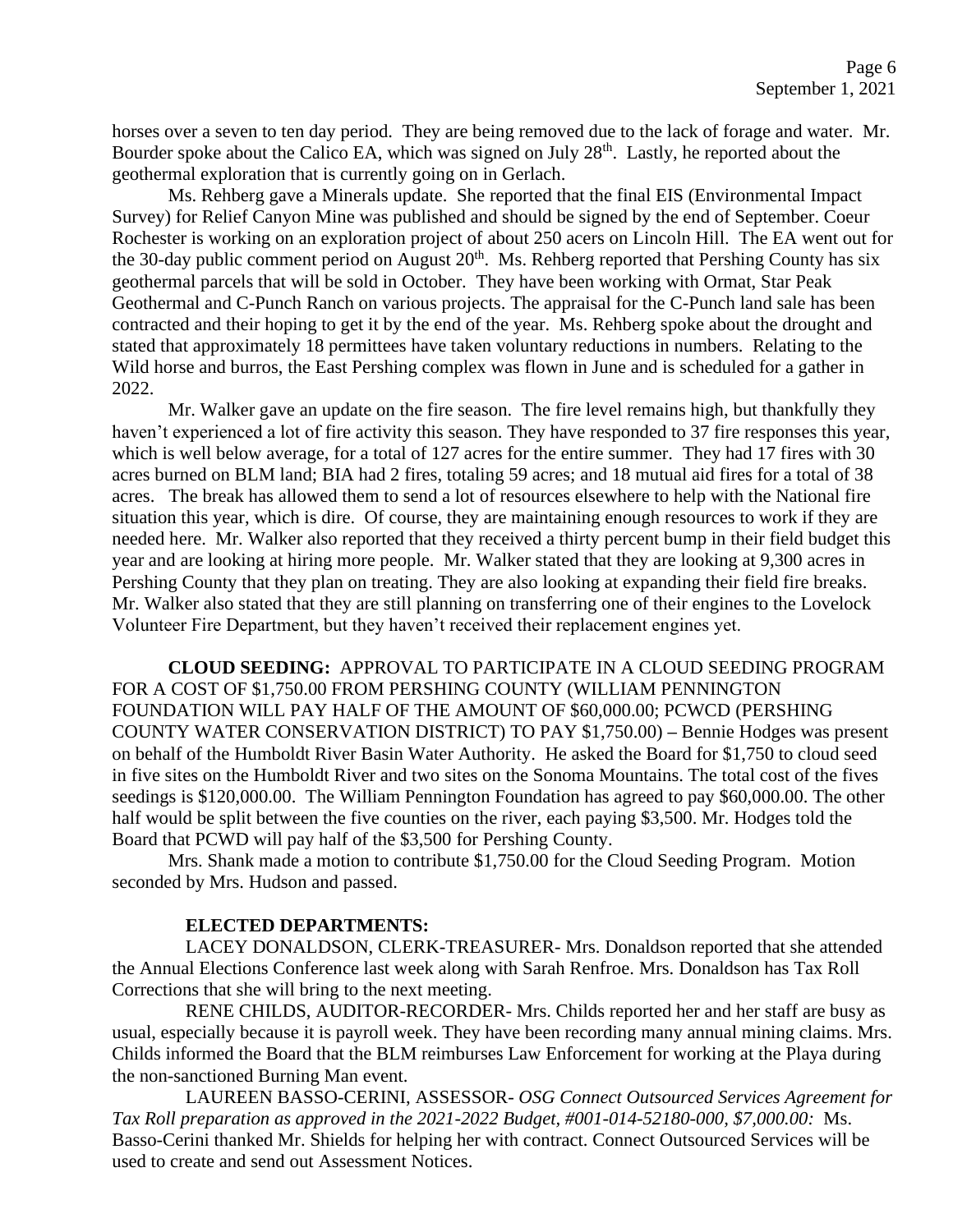horses over a seven to ten day period. They are being removed due to the lack of forage and water. Mr. Bourder spoke about the Calico EA, which was signed on July 28<sup>th</sup>. Lastly, he reported about the geothermal exploration that is currently going on in Gerlach.

Ms. Rehberg gave a Minerals update. She reported that the final EIS (Environmental Impact Survey) for Relief Canyon Mine was published and should be signed by the end of September. Coeur Rochester is working on an exploration project of about 250 acers on Lincoln Hill. The EA went out for the 30-day public comment period on August  $20<sup>th</sup>$ . Ms. Rehberg reported that Pershing County has six geothermal parcels that will be sold in October. They have been working with Ormat, Star Peak Geothermal and C-Punch Ranch on various projects. The appraisal for the C-Punch land sale has been contracted and their hoping to get it by the end of the year. Ms. Rehberg spoke about the drought and stated that approximately 18 permittees have taken voluntary reductions in numbers. Relating to the Wild horse and burros, the East Pershing complex was flown in June and is scheduled for a gather in 2022.

Mr. Walker gave an update on the fire season. The fire level remains high, but thankfully they haven't experienced a lot of fire activity this season. They have responded to 37 fire responses this year, which is well below average, for a total of 127 acres for the entire summer. They had 17 fires with 30 acres burned on BLM land; BIA had 2 fires, totaling 59 acres; and 18 mutual aid fires for a total of 38 acres. The break has allowed them to send a lot of resources elsewhere to help with the National fire situation this year, which is dire. Of course, they are maintaining enough resources to work if they are needed here. Mr. Walker also reported that they received a thirty percent bump in their field budget this year and are looking at hiring more people. Mr. Walker stated that they are looking at 9,300 acres in Pershing County that they plan on treating. They are also looking at expanding their field fire breaks. Mr. Walker also stated that they are still planning on transferring one of their engines to the Lovelock Volunteer Fire Department, but they haven't received their replacement engines yet.

**CLOUD SEEDING:** APPROVAL TO PARTICIPATE IN A CLOUD SEEDING PROGRAM FOR A COST OF \$1,750.00 FROM PERSHING COUNTY (WILLIAM PENNINGTON FOUNDATION WILL PAY HALF OF THE AMOUNT OF \$60,000.00; PCWCD (PERSHING COUNTY WATER CONSERVATION DISTRICT) TO PAY \$1,750.00) **–** Bennie Hodges was present on behalf of the Humboldt River Basin Water Authority. He asked the Board for \$1,750 to cloud seed in five sites on the Humboldt River and two sites on the Sonoma Mountains. The total cost of the fives seedings is \$120,000.00. The William Pennington Foundation has agreed to pay \$60,000.00. The other half would be split between the five counties on the river, each paying \$3,500. Mr. Hodges told the Board that PCWD will pay half of the \$3,500 for Pershing County.

Mrs. Shank made a motion to contribute \$1,750.00 for the Cloud Seeding Program. Motion seconded by Mrs. Hudson and passed.

#### **ELECTED DEPARTMENTS:**

LACEY DONALDSON, CLERK-TREASURER- Mrs. Donaldson reported that she attended the Annual Elections Conference last week along with Sarah Renfroe. Mrs. Donaldson has Tax Roll Corrections that she will bring to the next meeting.

RENE CHILDS, AUDITOR-RECORDER- Mrs. Childs reported her and her staff are busy as usual, especially because it is payroll week. They have been recording many annual mining claims. Mrs. Childs informed the Board that the BLM reimburses Law Enforcement for working at the Playa during the non-sanctioned Burning Man event.

LAUREEN BASSO-CERINI, ASSESSOR- *OSG Connect Outsourced Services Agreement for Tax Roll preparation as approved in the 2021-2022 Budget, #001-014-52180-000, \$7,000.00:* Ms. Basso-Cerini thanked Mr. Shields for helping her with contract. Connect Outsourced Services will be used to create and send out Assessment Notices.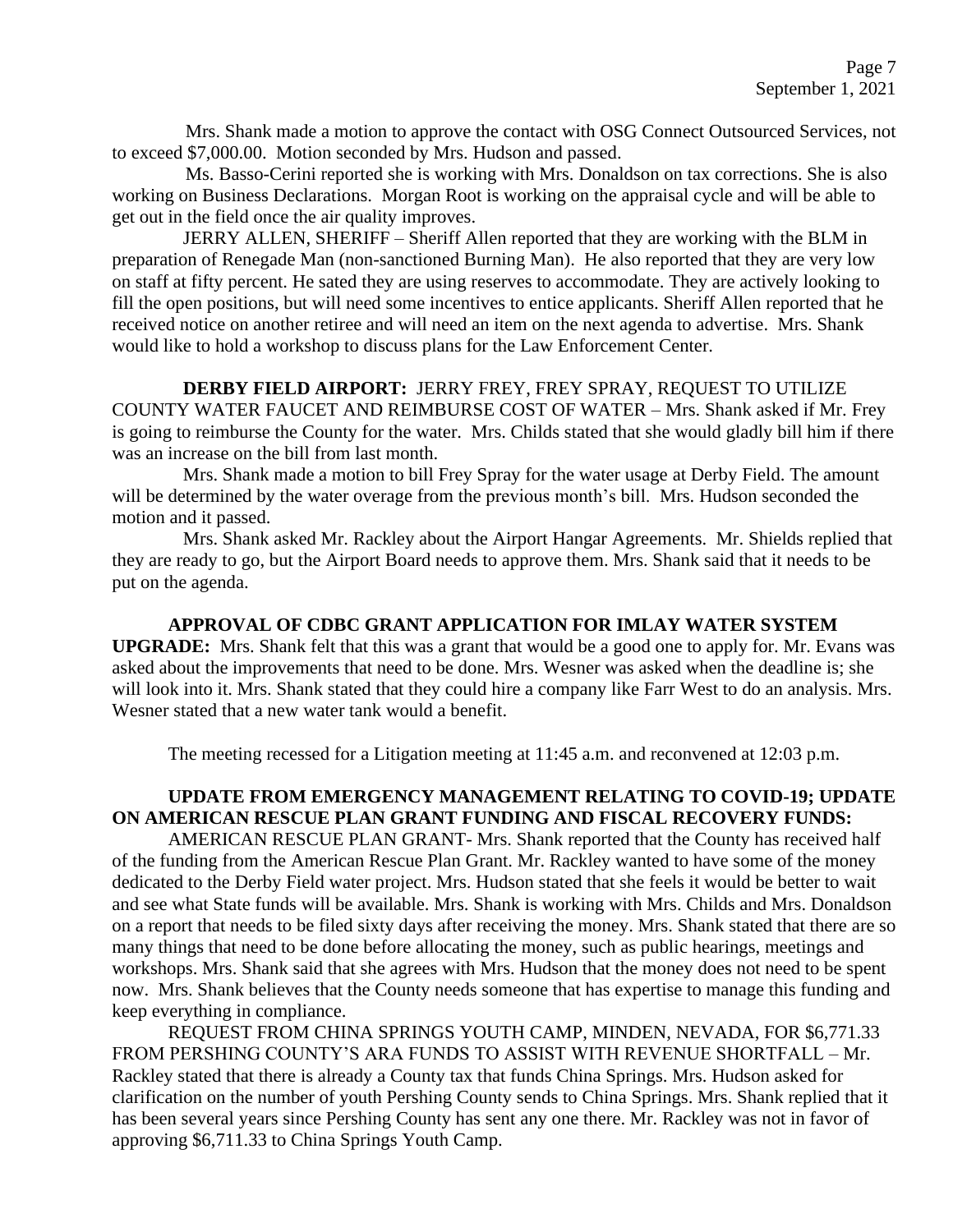Mrs. Shank made a motion to approve the contact with OSG Connect Outsourced Services, not to exceed \$7,000.00. Motion seconded by Mrs. Hudson and passed.

Ms. Basso-Cerini reported she is working with Mrs. Donaldson on tax corrections. She is also working on Business Declarations. Morgan Root is working on the appraisal cycle and will be able to get out in the field once the air quality improves.

JERRY ALLEN, SHERIFF – Sheriff Allen reported that they are working with the BLM in preparation of Renegade Man (non-sanctioned Burning Man). He also reported that they are very low on staff at fifty percent. He sated they are using reserves to accommodate. They are actively looking to fill the open positions, but will need some incentives to entice applicants. Sheriff Allen reported that he received notice on another retiree and will need an item on the next agenda to advertise. Mrs. Shank would like to hold a workshop to discuss plans for the Law Enforcement Center.

**DERBY FIELD AIRPORT:** JERRY FREY, FREY SPRAY, REQUEST TO UTILIZE COUNTY WATER FAUCET AND REIMBURSE COST OF WATER – Mrs. Shank asked if Mr. Frey is going to reimburse the County for the water. Mrs. Childs stated that she would gladly bill him if there was an increase on the bill from last month.

Mrs. Shank made a motion to bill Frey Spray for the water usage at Derby Field. The amount will be determined by the water overage from the previous month's bill. Mrs. Hudson seconded the motion and it passed.

Mrs. Shank asked Mr. Rackley about the Airport Hangar Agreements. Mr. Shields replied that they are ready to go, but the Airport Board needs to approve them. Mrs. Shank said that it needs to be put on the agenda.

**APPROVAL OF CDBC GRANT APPLICATION FOR IMLAY WATER SYSTEM UPGRADE:** Mrs. Shank felt that this was a grant that would be a good one to apply for. Mr. Evans was asked about the improvements that need to be done. Mrs. Wesner was asked when the deadline is; she will look into it. Mrs. Shank stated that they could hire a company like Farr West to do an analysis. Mrs. Wesner stated that a new water tank would a benefit.

The meeting recessed for a Litigation meeting at 11:45 a.m. and reconvened at 12:03 p.m.

## **UPDATE FROM EMERGENCY MANAGEMENT RELATING TO COVID-19; UPDATE ON AMERICAN RESCUE PLAN GRANT FUNDING AND FISCAL RECOVERY FUNDS:**

AMERICAN RESCUE PLAN GRANT- Mrs. Shank reported that the County has received half of the funding from the American Rescue Plan Grant. Mr. Rackley wanted to have some of the money dedicated to the Derby Field water project. Mrs. Hudson stated that she feels it would be better to wait and see what State funds will be available. Mrs. Shank is working with Mrs. Childs and Mrs. Donaldson on a report that needs to be filed sixty days after receiving the money. Mrs. Shank stated that there are so many things that need to be done before allocating the money, such as public hearings, meetings and workshops. Mrs. Shank said that she agrees with Mrs. Hudson that the money does not need to be spent now. Mrs. Shank believes that the County needs someone that has expertise to manage this funding and keep everything in compliance.

REQUEST FROM CHINA SPRINGS YOUTH CAMP, MINDEN, NEVADA, FOR \$6,771.33 FROM PERSHING COUNTY'S ARA FUNDS TO ASSIST WITH REVENUE SHORTFALL – Mr. Rackley stated that there is already a County tax that funds China Springs. Mrs. Hudson asked for clarification on the number of youth Pershing County sends to China Springs. Mrs. Shank replied that it has been several years since Pershing County has sent any one there. Mr. Rackley was not in favor of approving \$6,711.33 to China Springs Youth Camp.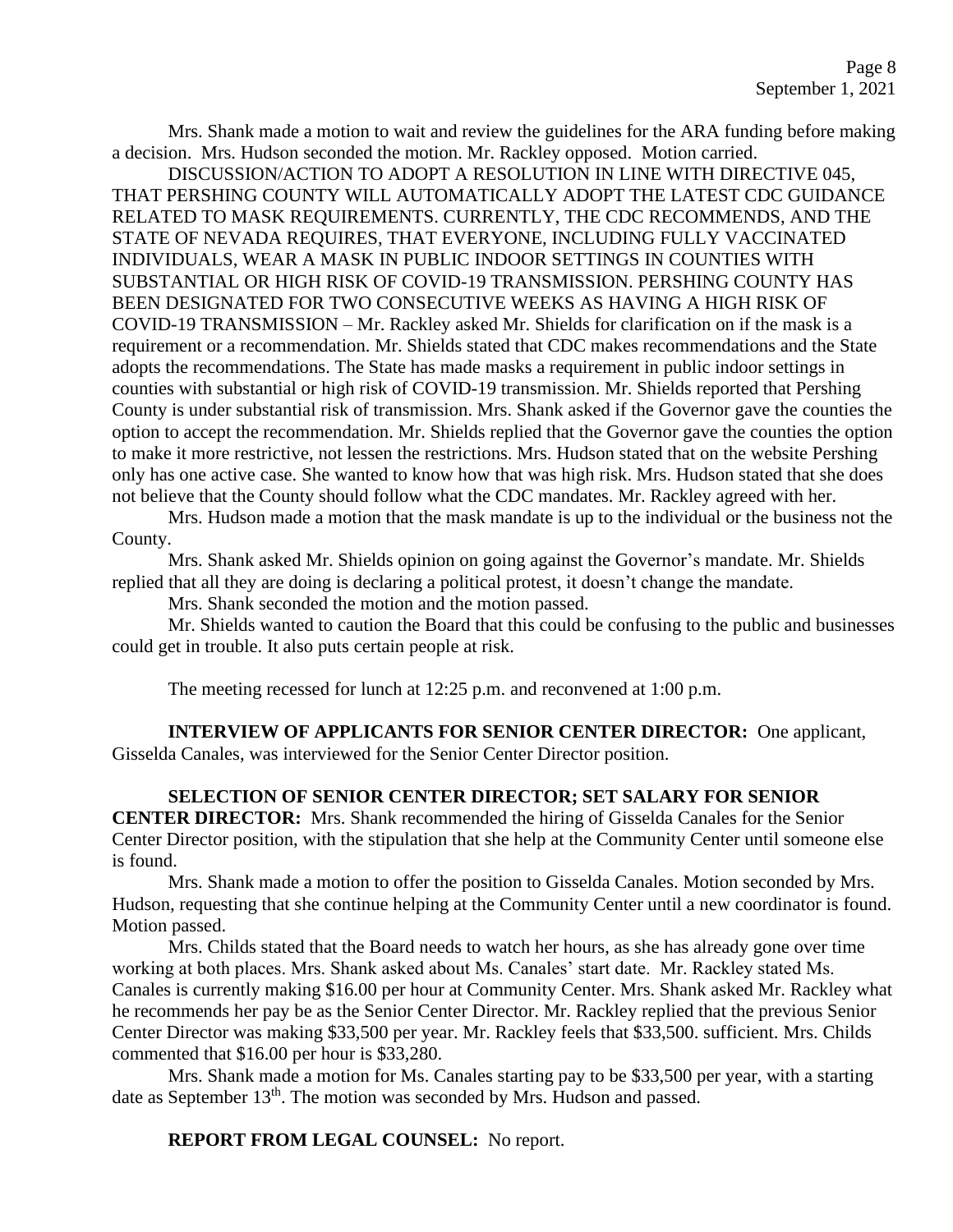Mrs. Shank made a motion to wait and review the guidelines for the ARA funding before making a decision. Mrs. Hudson seconded the motion. Mr. Rackley opposed. Motion carried.

DISCUSSION/ACTION TO ADOPT A RESOLUTION IN LINE WITH DIRECTIVE 045, THAT PERSHING COUNTY WILL AUTOMATICALLY ADOPT THE LATEST CDC GUIDANCE RELATED TO MASK REQUIREMENTS. CURRENTLY, THE CDC RECOMMENDS, AND THE STATE OF NEVADA REQUIRES, THAT EVERYONE, INCLUDING FULLY VACCINATED INDIVIDUALS, WEAR A MASK IN PUBLIC INDOOR SETTINGS IN COUNTIES WITH SUBSTANTIAL OR HIGH RISK OF COVID-19 TRANSMISSION. PERSHING COUNTY HAS BEEN DESIGNATED FOR TWO CONSECUTIVE WEEKS AS HAVING A HIGH RISK OF COVID-19 TRANSMISSION – Mr. Rackley asked Mr. Shields for clarification on if the mask is a requirement or a recommendation. Mr. Shields stated that CDC makes recommendations and the State adopts the recommendations. The State has made masks a requirement in public indoor settings in counties with substantial or high risk of COVID-19 transmission. Mr. Shields reported that Pershing County is under substantial risk of transmission. Mrs. Shank asked if the Governor gave the counties the option to accept the recommendation. Mr. Shields replied that the Governor gave the counties the option to make it more restrictive, not lessen the restrictions. Mrs. Hudson stated that on the website Pershing only has one active case. She wanted to know how that was high risk. Mrs. Hudson stated that she does not believe that the County should follow what the CDC mandates. Mr. Rackley agreed with her.

Mrs. Hudson made a motion that the mask mandate is up to the individual or the business not the County.

Mrs. Shank asked Mr. Shields opinion on going against the Governor's mandate. Mr. Shields replied that all they are doing is declaring a political protest, it doesn't change the mandate.

Mrs. Shank seconded the motion and the motion passed.

Mr. Shields wanted to caution the Board that this could be confusing to the public and businesses could get in trouble. It also puts certain people at risk.

The meeting recessed for lunch at 12:25 p.m. and reconvened at 1:00 p.m.

**INTERVIEW OF APPLICANTS FOR SENIOR CENTER DIRECTOR:** One applicant, Gisselda Canales, was interviewed for the Senior Center Director position.

**SELECTION OF SENIOR CENTER DIRECTOR; SET SALARY FOR SENIOR CENTER DIRECTOR:** Mrs. Shank recommended the hiring of Gisselda Canales for the Senior Center Director position, with the stipulation that she help at the Community Center until someone else is found.

Mrs. Shank made a motion to offer the position to Gisselda Canales. Motion seconded by Mrs. Hudson, requesting that she continue helping at the Community Center until a new coordinator is found. Motion passed.

Mrs. Childs stated that the Board needs to watch her hours, as she has already gone over time working at both places. Mrs. Shank asked about Ms. Canales' start date. Mr. Rackley stated Ms. Canales is currently making \$16.00 per hour at Community Center. Mrs. Shank asked Mr. Rackley what he recommends her pay be as the Senior Center Director. Mr. Rackley replied that the previous Senior Center Director was making \$33,500 per year. Mr. Rackley feels that \$33,500. sufficient. Mrs. Childs commented that \$16.00 per hour is \$33,280.

Mrs. Shank made a motion for Ms. Canales starting pay to be \$33,500 per year, with a starting date as September 13<sup>th</sup>. The motion was seconded by Mrs. Hudson and passed.

**REPORT FROM LEGAL COUNSEL:** No report.